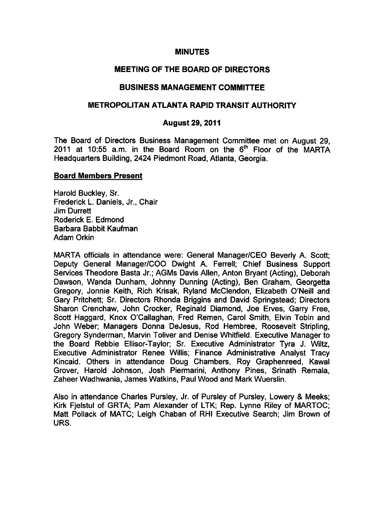#### **MINUTES**

# MEETING OF THE BOARD OF DIRECTORS

### BUSINESS MANAGEMENT COMMITTEE

# METROPOLITAN ATLANTA RAPID TRANSIT AUTHORITY

#### August 29, 2011

The Board of Directors Business Management Committee met on August 29, 2011 at 10:55 a.m. in the Board Room on the  $6<sup>th</sup>$  Floor of the MARTA Headquarters Building, 2424 Piedmont Road, Atlanta, Georgia.

#### Board Members Present

Harold Buckley, Sr. Frederick L. Daniels, Jr., Chair Jim Durrett Roderick E. Edmond Barbara Babbit Kaufman Adam Orkin

MARTA officials in attendance were: General Manager/CEO Beverly A. Scott; Deputy General Manager/COO Dwight A. Ferrell; Chief Business Support Services Theodore Basta Jr.; AGMs Davis Allen, Anton Bryant (Acting), Deborah Dawson, Wanda Dunham, Johnny Dunning (Acting), Ben Graham, Georgetta Gregory, Jonnie Keith, Rich Krisak, Ryland McClendon, Elizabeth O'Neill and Gary Pritchett; Sr. Directors Rhonda Briggins and David Springstead; Directors Sharon Crenchaw, John Crocker, Reginald Diamond, Joe Erves, Garry Free, Scott Haggard, Knox O'Callaghan, Fred Remen, Carol Smith, Elvin Tobin and John Weber; Managers Donna DeJesus, Rod Hembree, Roosevelt Stripling, Gregory Synderman, Marvin Toliver and Denise Whitfield. Executive Manager to the Board Rebbie Ellisor-Taylor; Sr. Executive Administrator Tyra J. Wiltz, Executive Administrator Renee Willis; Finance Administrative Analyst Tracy Kincaid. Others in attendance Doug Chambers, Roy Graphenreed, Kawal Grover, Harold Johnson, Josh Piermarini, Anthony Pines, Srinath Remala, Zaheer Wadhwania, James Watkins, Paul Wood and Mark Wuerslin.

Also in attendance Charles Pursley, Jr. of Pursley of Pursley, Lowery & Meeks; Kirk Fjelstul of GRTA; Pam Alexander of LTK; Rep. Lynne Riley of MARTOC; Matt Pollack of MATC; Leigh Chaban of RHI Executive Search; Jim Brown of URS.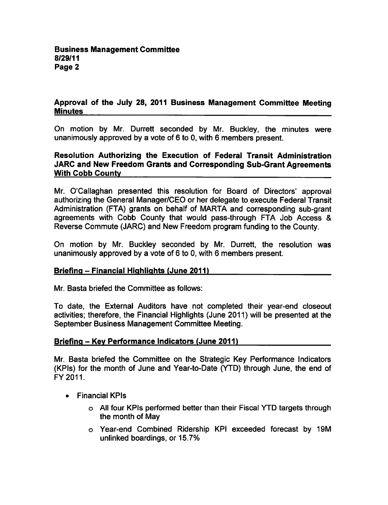## Approval of the July 28, 2011 Business Management Committee Meeting Minutes

On motion by Mr. Durrett seconded by Mr. Buckley, the minutes were unanimously approved by a vote of  $6$  to 0, with  $6$  members present.

# Resolution Authorizing the Execution of Federal Transit Administration JARC and New Freedom Grants and Corresponding Sub-Grant Agreements With Cobb County

Mr. O'Callaghan presented this resolution for Board of Directors' approval authorizing the General Manager/CEO or her delegate to execute Federal Transit Administration (FTA) grants on behalf of MARTA and corresponding sub-grant agreements with Cobb County that would pass-through FTA Job Access & Reverse Commute (JARC) and New Freedom program funding to the County.

On motion by Mr. Buckley seconded by Mr. Durrett, the resolution was unanimously approved by a vote of  $6$  to 0, with 6 members present.

## Briefing - Financial Highlights (June 2011)

Mr. Basta briefed the Committee as follows:

To date, the External Auditors have not completed their year-end closeout activities; therefore, the Financial Highlights (June 2011) will be presented at the September Business Management Committee Meeting.

## Briefing - Key Performance Indicators (June 2011)

Mr. Basta briefed the Committee on the Strategic Key Performance Indicators (KPIs) for the month of June and Year-to-Date (YTD) through June, the end of FY2011.

- Financial KPIs
	- All four KPIs performed better than their Fiscal YTD targets through the month of May
	- Year-end Combined Ridership KPI exceeded forecast by 19M unlinked boardings, or 15.7%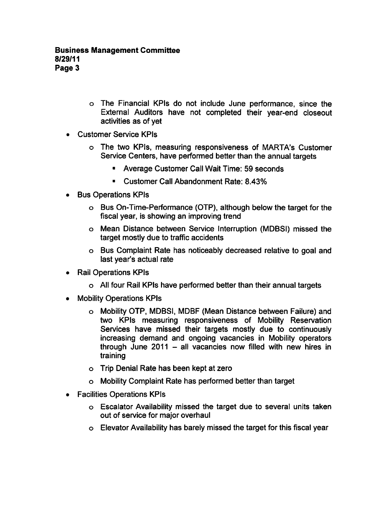- The Financial KPIs do not include June performance, since the External Auditors have not completed their year-end closeout activities as of yet
- Customer Service KPIs
	- The two KPIs, measuring responsiveness of MARTA's Customer Service Centers, have performed better than the annual targets
		- Average Customer Call Wait Time: 59 seconds
		- Customer Call Abandonment Rate: 8.43%  $\blacksquare$
- Bus Operations KPIs
	- Bus On-Time-Performance (OTP), although below the target for the fiscal year, is showing an improving trend
	- Mean Distance between Service Interruption (MDBSI) missed the target mostly due to traffic accidents
	- Bus Complaint Rate has noticeably decreased relative to goal and last year's actual rate
- Rail Operations KPIs
	- All four Rail KPIs have performed better than their annual targets
- Mobility Operations KPIs
	- Mobility OTP, MDBSI, MDBF (Mean Distance between Failure) and two KPIs measuring responsiveness of Mobility Reservation Services have missed their targets mostly due to continuously increasing demand and ongoing vacancies in Mobility operators through June 2011  $-$  all vacancies now filled with new hires in training
	- Trip Denial Rate has been kept at zero
	- Mobility Complaint Rate has performed better than target
- Facilities Operations KPIs
	- Escalator Availability missed the target due to several units taken out of service for major overhaul
	- Elevator Availability has barely missed the target for this fiscal year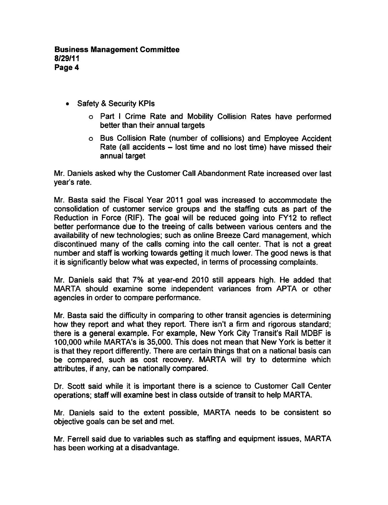- Safety & Security KPIs
	- o Part I Crime Rate and Mobility Collision Rates have performed better than their annual targets
	- Bus Collision Rate (number of collisions) and Employee Accident Rate (all accidents  $-$  lost time and no lost time) have missed their annual target

Mr. Daniels asked why the Customer Call Abandonment Rate increased over last year's rate.

Mr. Basta said the Fiscal Year 2011 goal was increased to accommodate the consolidation of customer service groups and the staffing cuts as part of the Reduction in Force (RIF). The goal will be reduced going into FY12 to reflect better performance due to the treeing of calls between various centers and the availability of new technologies; such as online Breeze Card management, which discontinued many of the calls coming into the call center. That is not a great number and staff is working towards getting it much lower. The good news is that it is significantly below what was expected, in terms of processing complaints.

Mr. Daniels said that 7% at year-end 2010 still appears high. He added that MARTA should examine some independent variances from APTA or other agencies in order to compare performance.

Mr. Basta said the difficulty in comparing to other transit agencies is determining how they report and what they report. There isn't a firm and rigorous standard; there is a general example. For example, New York City Transit's Rail MDBF is 100,000 while MARTA's is 35,000. This does not mean that New York is better it is that they report differently. There are certain things that on a national basis can be compared, such as cost recovery. MARTA will try to determine which attributes, if any, can be nationally compared.

Dr. Scott said while it is important there is a science to Customer Call Center operations; staff will examine best in class outside of transit to help MARTA.

Mr. Daniels said to the extent possible, MARTA needs to be consistent so objective goals can be set and met.

Mr. Ferrell said due to variables such as staffing and equipment issues, MARTA has been working at a disadvantage.